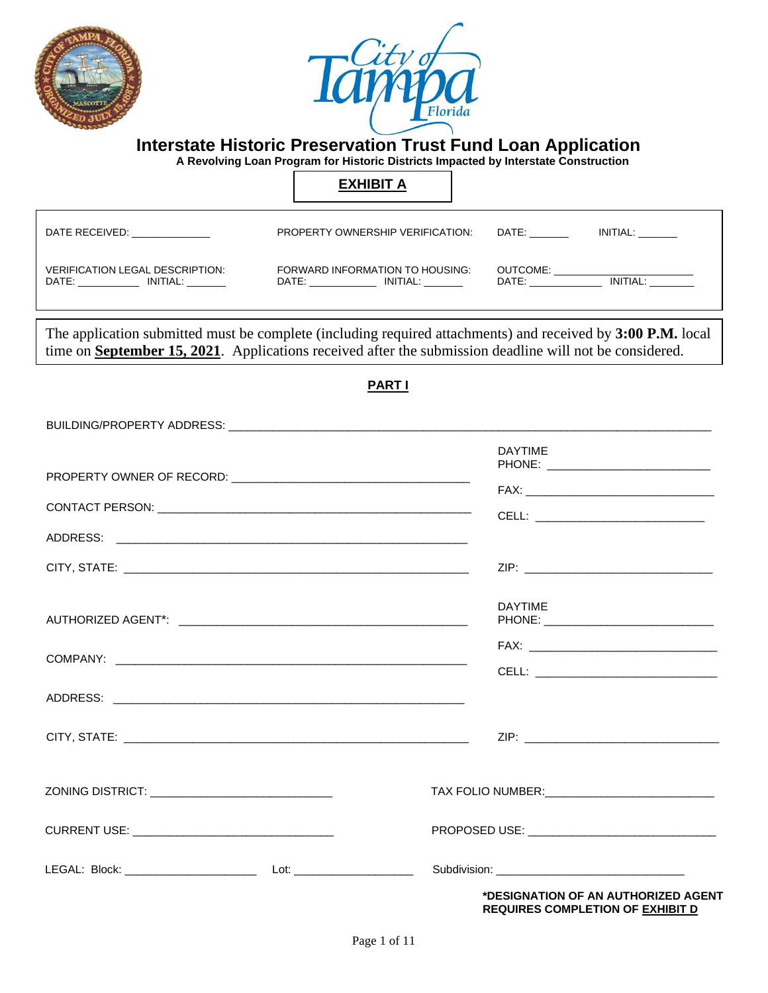



 **A Revolving Loan Program for Historic Districts Impacted by Interstate Construction**

### **EXHIBIT A**

| DATE RECEIVED:                         | PROPERTY OWNERSHIP VERIFICATION: | INITIAL:<br>DATE: |
|----------------------------------------|----------------------------------|-------------------|
| <b>VERIFICATION LEGAL DESCRIPTION:</b> | FORWARD INFORMATION TO HOUSING:  | OUTCOME:          |
| INITIAL:                               | INITIAL:                         | INITIAL:          |
| DATE:                                  | DATE:                            | DATE:             |

The application submitted must be complete (including required attachments) and received by **3:00 P.M.** local time on **September 15, 2021**. Applications received after the submission deadline will not be considered.

#### **PART I**

|                                                                                                                | <b>DAYTIME</b><br>CELL: ____________________________                           |
|----------------------------------------------------------------------------------------------------------------|--------------------------------------------------------------------------------|
|                                                                                                                |                                                                                |
|                                                                                                                |                                                                                |
|                                                                                                                | <b>DAYTIME</b><br>PHONE: ___________________________________                   |
|                                                                                                                |                                                                                |
|                                                                                                                |                                                                                |
|                                                                                                                |                                                                                |
| ZONING DISTRICT: _________________________________                                                             | TAX FOLIO NUMBER: _________________________________                            |
| CURRENT USE: WE ARE A PARTICULAR AND THE CONTROL OF THE CONTROL OF THE CONTROL OF THE CONTROL OF THE CONTROL O |                                                                                |
| LEGAL: Block: _________________________________ Lot: ___________________________                               | Subdivision: ___________________________________                               |
|                                                                                                                | *DESIGNATION OF AN AUTHORIZED AGENT<br><b>REQUIRES COMPLETION OF EXHIBIT D</b> |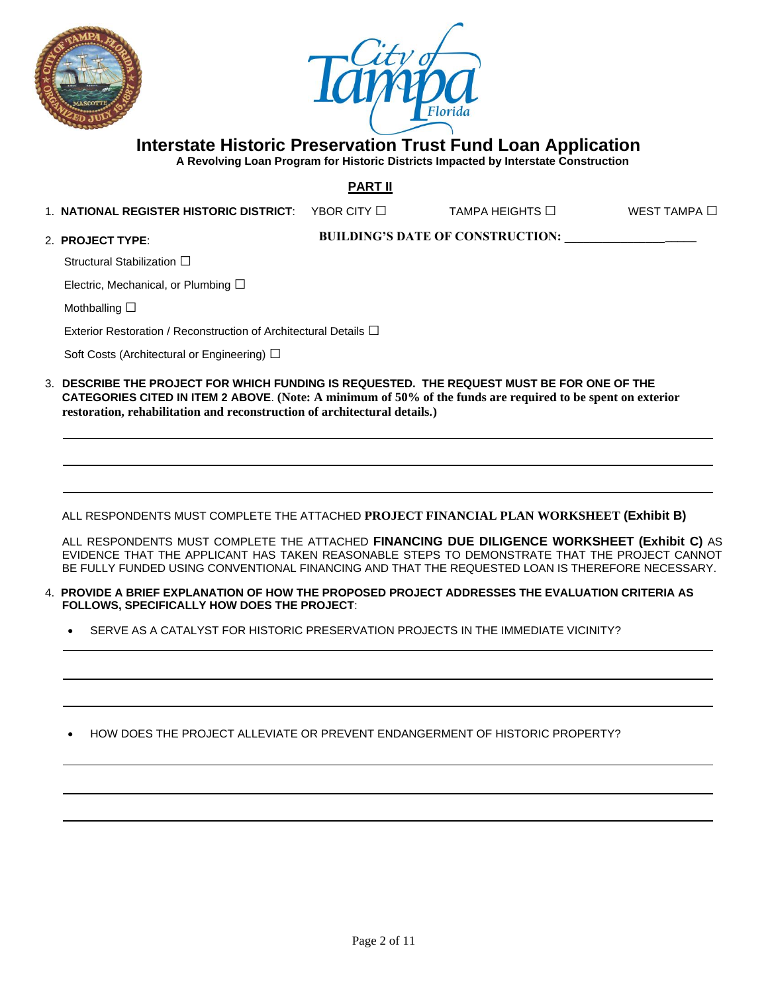



 **A Revolving Loan Program for Historic Districts Impacted by Interstate Construction**

**PART II**

1. **NATIONAL REGISTER HISTORIC DISTRICT**: YBOR CITY □ TAMPA HEIGHTS □ WEST TAMPA □

2. **PROJECT TYPE**:

**BUILDING'S DATE OF CONSTRUCTION: \_\_\_\_\_\_\_\_\_\_\_\_\_\_\_\_\_\_\_\_\_**

Structural Stabilization □

Electric, Mechanical, or Plumbing  $\square$ 

Mothballing □

Exterior Restoration / Reconstruction of Architectural Details **□** 

Soft Costs (Architectural or Engineering) □

3. **DESCRIBE THE PROJECT FOR WHICH FUNDING IS REQUESTED. THE REQUEST MUST BE FOR ONE OF THE CATEGORIES CITED IN ITEM 2 ABOVE**. **(Note: A minimum of 50% of the funds are required to be spent on exterior restoration, rehabilitation and reconstruction of architectural details.)**

ALL RESPONDENTS MUST COMPLETE THE ATTACHED **PROJECT FINANCIAL PLAN WORKSHEET (Exhibit B)**

ALL RESPONDENTS MUST COMPLETE THE ATTACHED **FINANCING DUE DILIGENCE WORKSHEET (Exhibit C)** AS EVIDENCE THAT THE APPLICANT HAS TAKEN REASONABLE STEPS TO DEMONSTRATE THAT THE PROJECT CANNOT BE FULLY FUNDED USING CONVENTIONAL FINANCING AND THAT THE REQUESTED LOAN IS THEREFORE NECESSARY.

- 4. **PROVIDE A BRIEF EXPLANATION OF HOW THE PROPOSED PROJECT ADDRESSES THE EVALUATION CRITERIA AS FOLLOWS, SPECIFICALLY HOW DOES THE PROJECT**:
	- SERVE AS A CATALYST FOR HISTORIC PRESERVATION PROJECTS IN THE IMMEDIATE VICINITY?

• HOW DOES THE PROJECT ALLEVIATE OR PREVENT ENDANGERMENT OF HISTORIC PROPERTY?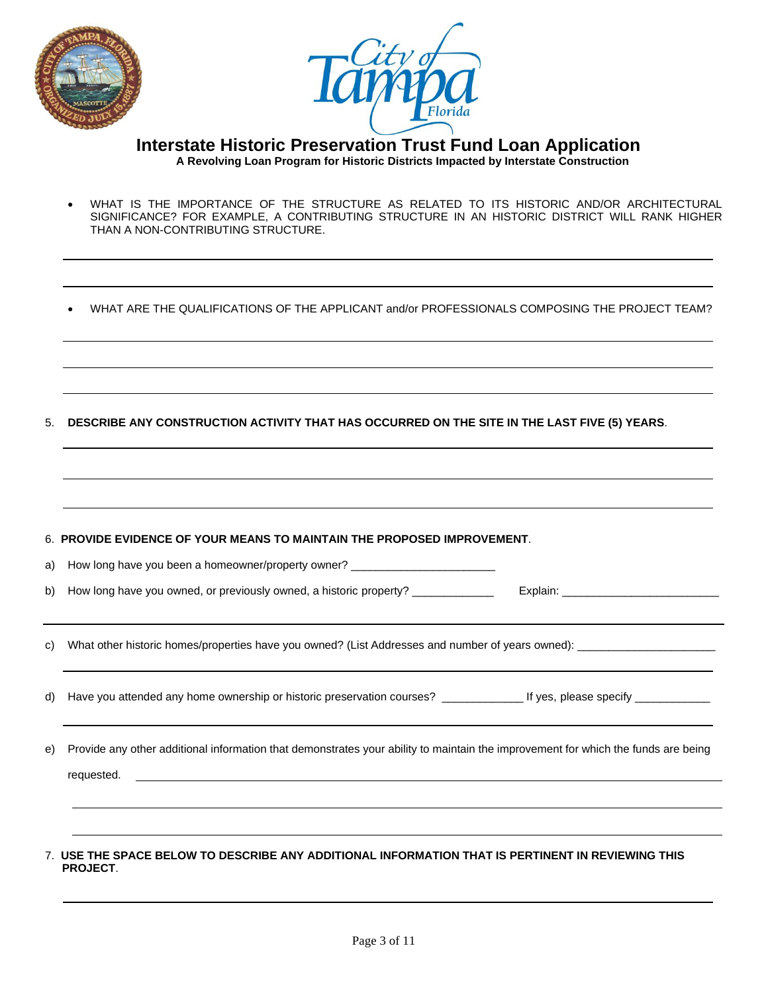



 **Interstate Historic Preservation Trust Fund Loan Application A Revolving Loan Program for Historic Districts Impacted by Interstate Construction**

- WHAT IS THE IMPORTANCE OF THE STRUCTURE AS RELATED TO ITS HISTORIC AND/OR ARCHITECTURAL SIGNIFICANCE? FOR EXAMPLE, A CONTRIBUTING STRUCTURE IN AN HISTORIC DISTRICT WILL RANK HIGHER THAN A NON-CONTRIBUTING STRUCTURE.
- WHAT ARE THE QUALIFICATIONS OF THE APPLICANT and/or PROFESSIONALS COMPOSING THE PROJECT TEAM?
- 5. **DESCRIBE ANY CONSTRUCTION ACTIVITY THAT HAS OCCURRED ON THE SITE IN THE LAST FIVE (5) YEARS**.

|    | 6. PROVIDE EVIDENCE OF YOUR MEANS TO MAINTAIN THE PROPOSED IMPROVEMENT.                                                                         |
|----|-------------------------------------------------------------------------------------------------------------------------------------------------|
| a) | How long have you been a homeowner/property owner? _____________________________                                                                |
| b) | How long have you owned, or previously owned, a historic property? _____________                                                                |
| C) |                                                                                                                                                 |
| d) |                                                                                                                                                 |
| e) | Provide any other additional information that demonstrates your ability to maintain the improvement for which the funds are being<br>requested. |
|    |                                                                                                                                                 |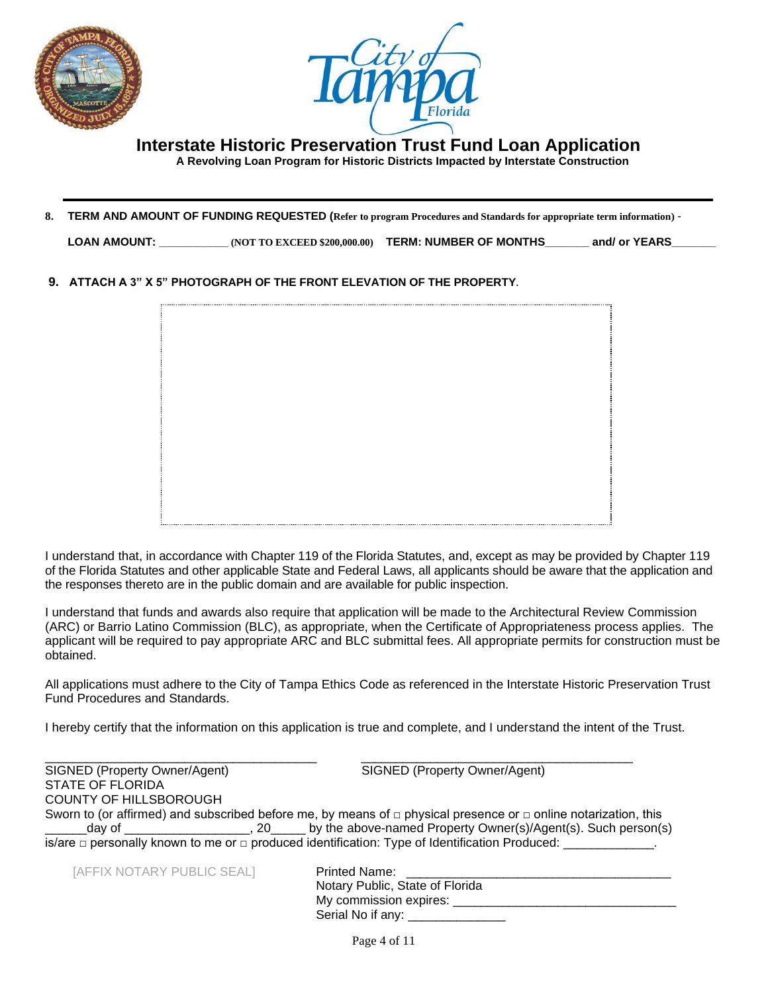



 **A Revolving Loan Program for Historic Districts Impacted by Interstate Construction**

**8. TERM AND AMOUNT OF FUNDING REQUESTED (Refer to program Procedures and Standards for appropriate term information)** -

**LOAN AMOUNT: \_\_\_\_\_\_\_\_\_\_\_ (NOT TO EXCEED \$200,000.00) TERM: NUMBER OF MONTHS\_\_\_\_\_\_\_ and/ or YEARS\_\_\_\_\_\_\_**

**9. ATTACH A 3" X 5" PHOTOGRAPH OF THE FRONT ELEVATION OF THE PROPERTY.**

I understand that, in accordance with Chapter 119 of the Florida Statutes, and, except as may be provided by Chapter 119 of the Florida Statutes and other applicable State and Federal Laws, all applicants should be aware that the application and the responses thereto are in the public domain and are available for public inspection.

I understand that funds and awards also require that application will be made to the Architectural Review Commission (ARC) or Barrio Latino Commission (BLC), as appropriate, when the Certificate of Appropriateness process applies. The applicant will be required to pay appropriate ARC and BLC submittal fees. All appropriate permits for construction must be obtained.

All applications must adhere to the City of Tampa Ethics Code as referenced in the Interstate Historic Preservation Trust Fund Procedures and Standards.

I hereby certify that the information on this application is true and complete, and I understand the intent of the Trust.

| SIGNED (Property Owner/Agent) | SIGNED (Property Owner/Agent)                                                                                             |
|-------------------------------|---------------------------------------------------------------------------------------------------------------------------|
| <b>STATE OF FLORIDA</b>       |                                                                                                                           |
| COUNTY OF HILLSBOROUGH        |                                                                                                                           |
|                               | Sworn to (or affirmed) and subscribed before me, by means of $\Box$ physical presence or $\Box$ online notarization, this |
|                               | day of ________________________, 20_______ by the above-named Property Owner(s)/Agent(s). Such person(s)                  |
|                               | is/are $\Box$ personally known to me or $\Box$ produced identification: Type of Identification Produced:                  |

[AFFIX NOTARY PUBLIC SEAL] **Printed Name: 2** 

| <b>Printed Name:</b>            |
|---------------------------------|
| Notary Public, State of Florida |
| My commission expires: __       |
| Serial No if any:               |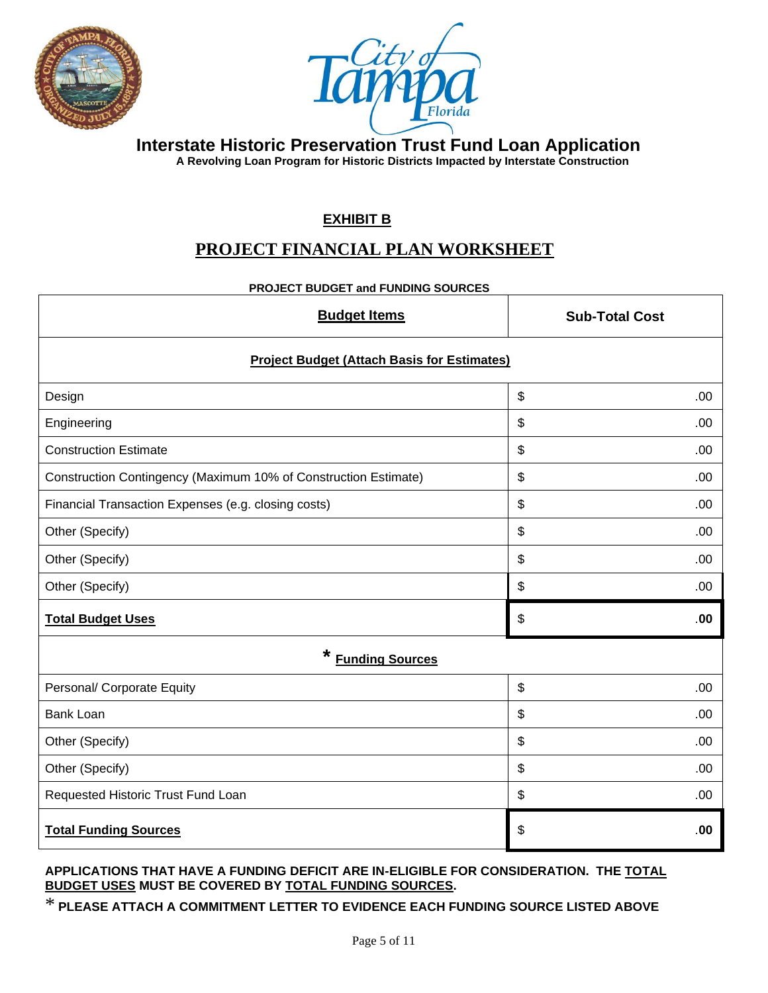



 **A Revolving Loan Program for Historic Districts Impacted by Interstate Construction**

### **EXHIBIT B**

### **PROJECT FINANCIAL PLAN WORKSHEET**

#### **PROJECT BUDGET and FUNDING SOURCES**

| <b>Budget Items</b>                                             | <b>Sub-Total Cost</b>            |  |  |  |
|-----------------------------------------------------------------|----------------------------------|--|--|--|
| <b>Project Budget (Attach Basis for Estimates)</b>              |                                  |  |  |  |
| Design                                                          | $\boldsymbol{\mathsf{S}}$<br>.00 |  |  |  |
| Engineering                                                     | $\boldsymbol{\mathsf{S}}$<br>.00 |  |  |  |
| <b>Construction Estimate</b>                                    | $\boldsymbol{\mathsf{S}}$<br>.00 |  |  |  |
| Construction Contingency (Maximum 10% of Construction Estimate) | \$<br>.00                        |  |  |  |
| Financial Transaction Expenses (e.g. closing costs)             | $\boldsymbol{\mathsf{S}}$<br>.00 |  |  |  |
| Other (Specify)                                                 | $\boldsymbol{\mathsf{S}}$<br>.00 |  |  |  |
| Other (Specify)                                                 | \$<br>.00                        |  |  |  |
| Other (Specify)                                                 | $\boldsymbol{\mathsf{S}}$<br>.00 |  |  |  |
| <b>Total Budget Uses</b>                                        | \$<br>.00                        |  |  |  |
| *<br><b>Funding Sources</b>                                     |                                  |  |  |  |
| Personal/ Corporate Equity                                      | \$<br>.00                        |  |  |  |
| <b>Bank Loan</b>                                                | \$<br>.00                        |  |  |  |
| Other (Specify)                                                 | $\boldsymbol{\mathsf{S}}$<br>.00 |  |  |  |
| Other (Specify)                                                 | \$<br>.00                        |  |  |  |
| Requested Historic Trust Fund Loan                              | \$<br>.00                        |  |  |  |
| <b>Total Funding Sources</b>                                    | \$<br>.00                        |  |  |  |

#### **APPLICATIONS THAT HAVE A FUNDING DEFICIT ARE IN-ELIGIBLE FOR CONSIDERATION. THE TOTAL BUDGET USES MUST BE COVERED BY TOTAL FUNDING SOURCES.**

# \* **PLEASE ATTACH A COMMITMENT LETTER TO EVIDENCE EACH FUNDING SOURCE LISTED ABOVE**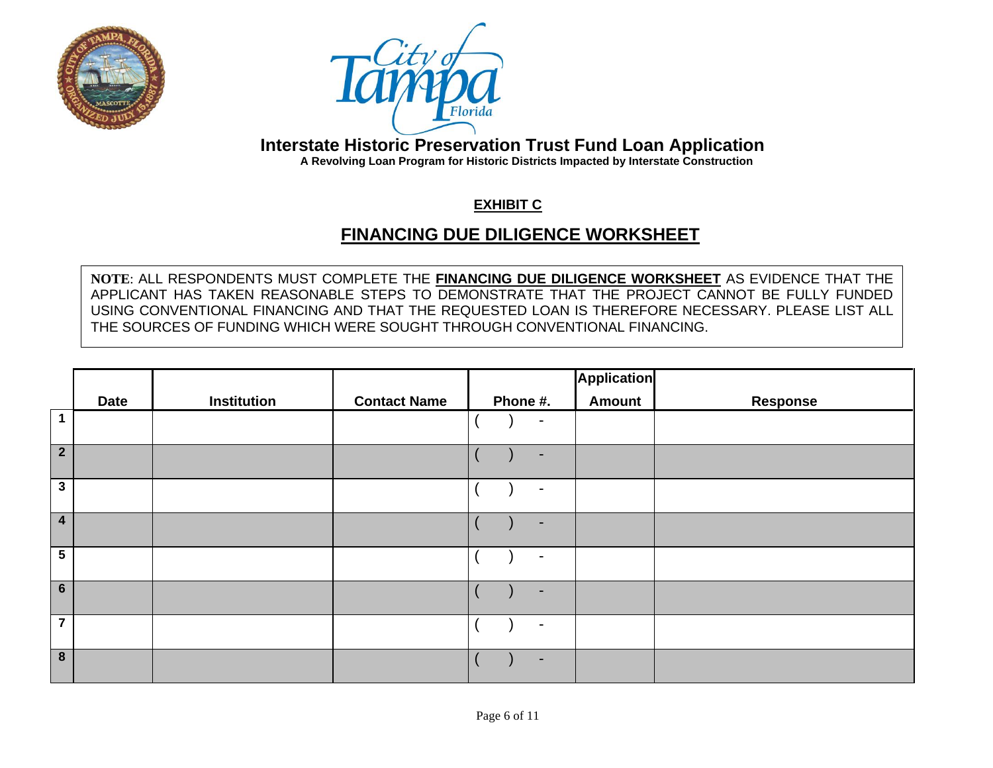



 **A Revolving Loan Program for Historic Districts Impacted by Interstate Construction**

### **EXHIBIT C**

# **FINANCING DUE DILIGENCE WORKSHEET**

**NOTE**: ALL RESPONDENTS MUST COMPLETE THE **FINANCING DUE DILIGENCE WORKSHEET** AS EVIDENCE THAT THE APPLICANT HAS TAKEN REASONABLE STEPS TO DEMONSTRATE THAT THE PROJECT CANNOT BE FULLY FUNDED USING CONVENTIONAL FINANCING AND THAT THE REQUESTED LOAN IS THEREFORE NECESSARY. PLEASE LIST ALL THE SOURCES OF FUNDING WHICH WERE SOUGHT THROUGH CONVENTIONAL FINANCING.

|                  |             |                    |                     |                | Application   |                 |
|------------------|-------------|--------------------|---------------------|----------------|---------------|-----------------|
|                  | <b>Date</b> | <b>Institution</b> | <b>Contact Name</b> | Phone #.       | <b>Amount</b> | <b>Response</b> |
| $\overline{1}$   |             |                    |                     | $\blacksquare$ |               |                 |
| $\overline{2}$   |             |                    |                     | ٠              |               |                 |
| $\mathbf{3}$     |             |                    |                     | $\blacksquare$ |               |                 |
| $\overline{4}$   |             |                    |                     | ٠              |               |                 |
| $5\phantom{.0}$  |             |                    |                     | $\blacksquare$ |               |                 |
| $6\phantom{1}$   |             |                    |                     | ۰              |               |                 |
| $\overline{7}$   |             |                    |                     | $\blacksquare$ |               |                 |
| $\boldsymbol{8}$ |             |                    |                     | $\blacksquare$ |               |                 |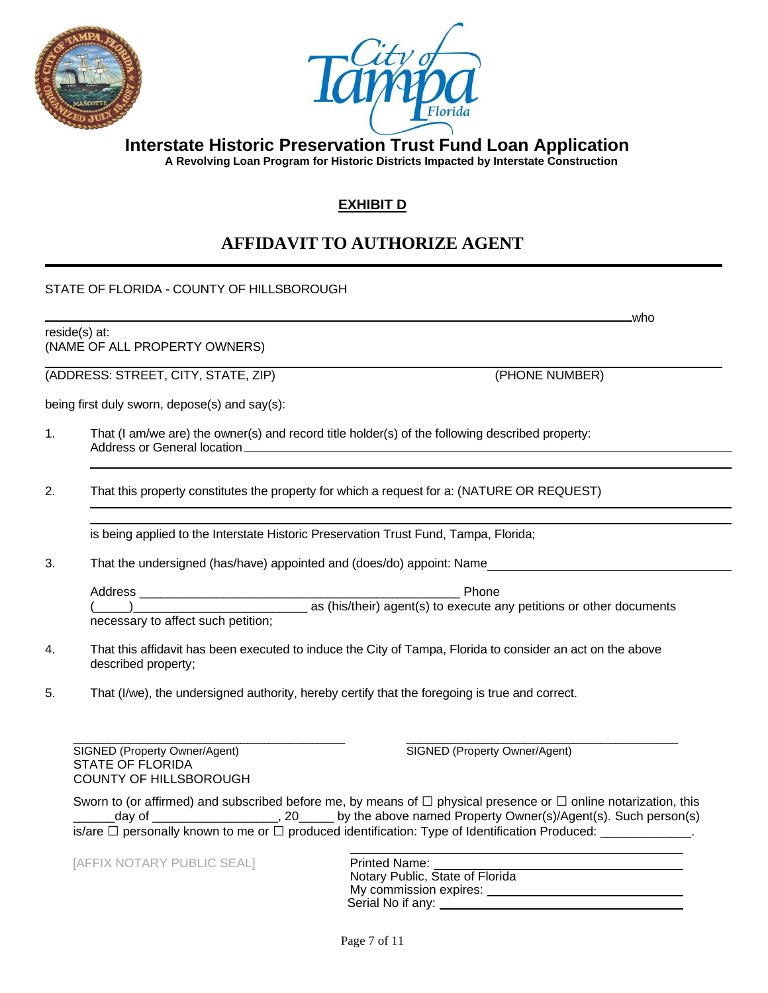



 **A Revolving Loan Program for Historic Districts Impacted by Interstate Construction**

### **EXHIBIT D**

# **AFFIDAVIT TO AUTHORIZE AGENT**

STATE OF FLORIDA - COUNTY OF HILLSBOROUGH

reside(s) at: (NAME OF ALL PROPERTY OWNERS)

(ADDRESS: STREET, CITY, STATE, ZIP) (PHONE NUMBER)

being first duly sworn, depose(s) and say(s):

- 1. That (I am/we are) the owner(s) and record title holder(s) of the following described property: Address or General location
- 2. That this property constitutes the property for which a request for a: (NATURE OR REQUEST)

is being applied to the Interstate Historic Preservation Trust Fund, Tampa, Florida;

3. That the undersigned (has/have) appointed and (does/do) appoint: Name

Address \_\_\_\_\_\_\_\_\_\_\_\_\_\_\_\_\_\_\_\_\_\_\_\_\_\_\_\_\_\_\_\_\_\_\_\_\_\_\_\_\_\_\_\_\_\_ Phone  $(\_\_\_\_\)_$ necessary to affect such petition;

- 4. That this affidavit has been executed to induce the City of Tampa, Florida to consider an act on the above described property;
- 5. That (I/we), the undersigned authority, hereby certify that the foregoing is true and correct.

\_\_\_\_\_\_\_\_\_\_\_\_\_\_\_\_\_\_\_\_\_\_\_\_\_\_\_\_\_\_\_\_\_\_\_\_\_\_\_ \_\_\_\_\_\_\_\_\_\_\_\_\_\_\_\_\_\_\_\_\_\_\_\_\_\_\_\_\_\_\_\_\_\_\_\_\_\_\_ SIGNED (Property Owner/Agent) SIGNED (Property Owner/Agent) STATE OF FLORIDA COUNTY OF HILLSBOROUGH

who

Sworn to (or affirmed) and subscribed before me, by means of  $\Box$  physical presence or  $\Box$  online notarization, this day of \_\_\_\_\_\_\_\_\_\_\_\_\_\_\_\_\_\_\_\_, 20\_\_\_\_\_ by the above named Property Owner(s)/Agent(s). Such person(s) is/are  $\Box$  personally known to me or  $\Box$  produced identification: Type of Identification Produced:

[AFFIX NOTARY PUBLIC SEAL] **Printed Name:** 

Notary Public, State of Florida My commission expires: \_\_\_\_\_\_\_\_ Serial No if any: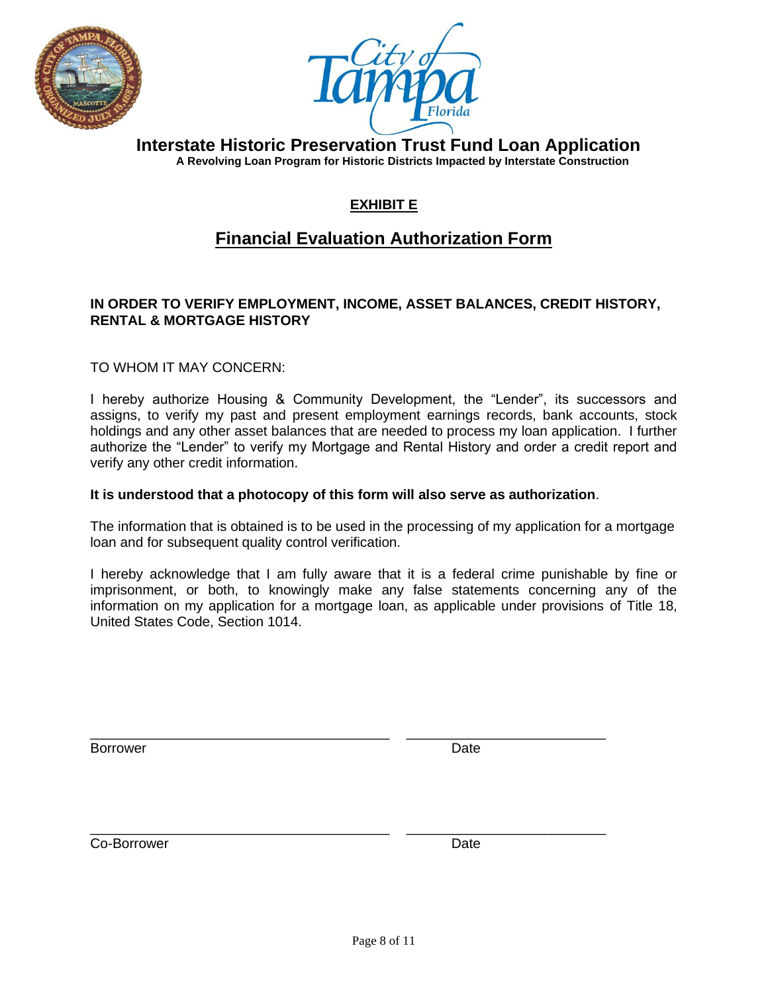



 **Interstate Historic Preservation Trust Fund Loan Application A Revolving Loan Program for Historic Districts Impacted by Interstate Construction**

### **EXHIBIT E**

### **Financial Evaluation Authorization Form**

### **IN ORDER TO VERIFY EMPLOYMENT, INCOME, ASSET BALANCES, CREDIT HISTORY, RENTAL & MORTGAGE HISTORY**

TO WHOM IT MAY CONCERN:

I hereby authorize Housing & Community Development, the "Lender", its successors and assigns, to verify my past and present employment earnings records, bank accounts, stock holdings and any other asset balances that are needed to process my loan application. I further authorize the "Lender" to verify my Mortgage and Rental History and order a credit report and verify any other credit information.

#### **It is understood that a photocopy of this form will also serve as authorization**.

\_\_\_\_\_\_\_\_\_\_\_\_\_\_\_\_\_\_\_\_\_\_\_\_\_\_\_\_\_\_\_\_\_\_\_\_\_\_\_ \_\_\_\_\_\_\_\_\_\_\_\_\_\_\_\_\_\_\_\_\_\_\_\_\_\_

\_\_\_\_\_\_\_\_\_\_\_\_\_\_\_\_\_\_\_\_\_\_\_\_\_\_\_\_\_\_\_\_\_\_\_\_\_\_\_ \_\_\_\_\_\_\_\_\_\_\_\_\_\_\_\_\_\_\_\_\_\_\_\_\_\_

The information that is obtained is to be used in the processing of my application for a mortgage loan and for subsequent quality control verification.

I hereby acknowledge that I am fully aware that it is a federal crime punishable by fine or imprisonment, or both, to knowingly make any false statements concerning any of the information on my application for a mortgage loan, as applicable under provisions of Title 18, United States Code, Section 1014.

Borrower **Date** 

Co-Borrower Date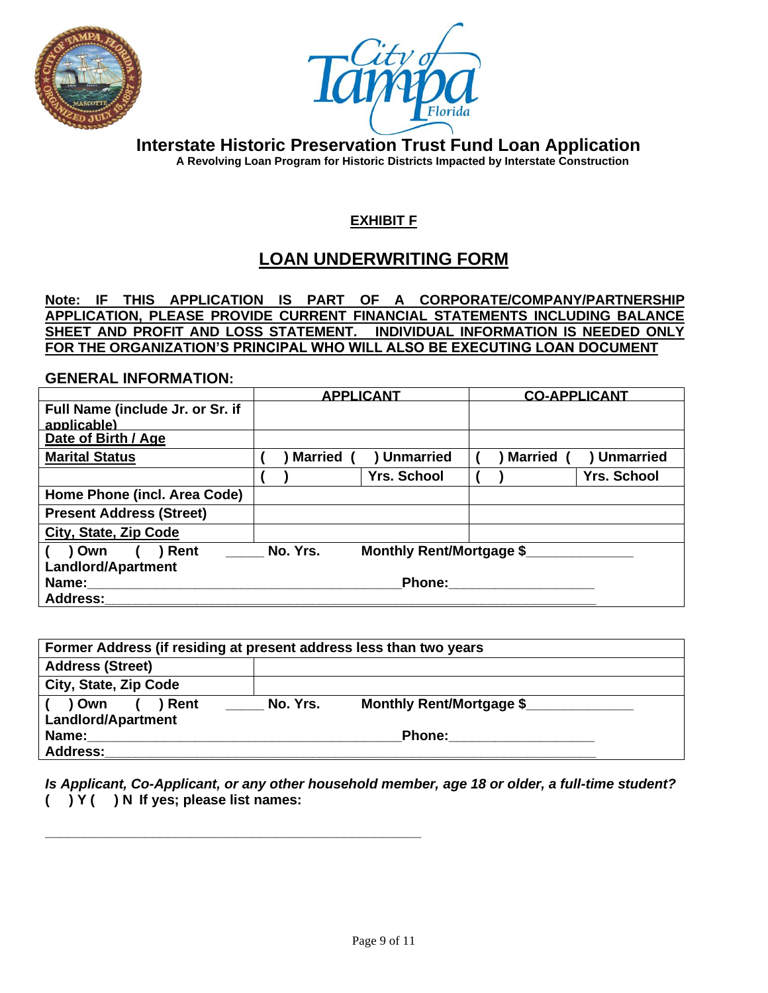



 **Interstate Historic Preservation Trust Fund Loan Application A Revolving Loan Program for Historic Districts Impacted by Interstate Construction**

### **EXHIBIT F**

## **LOAN UNDERWRITING FORM**

**Note: IF THIS APPLICATION IS PART OF A CORPORATE/COMPANY/PARTNERSHIP APPLICATION, PLEASE PROVIDE CURRENT FINANCIAL STATEMENTS INCLUDING BALANCE SHEET AND PROFIT AND LOSS STATEMENT. INDIVIDUAL INFORMATION IS NEEDED ONLY FOR THE ORGANIZATION'S PRINCIPAL WHO WILL ALSO BE EXECUTING LOAN DOCUMENT**

#### **GENERAL INFORMATION:**

|                                                 | <b>APPLICANT</b> |                                 | <b>CO-APPLICANT</b> |                    |
|-------------------------------------------------|------------------|---------------------------------|---------------------|--------------------|
| Full Name (include Jr. or Sr. if<br>applicable) |                  |                                 |                     |                    |
| Date of Birth / Age                             |                  |                                 |                     |                    |
| <b>Marital Status</b>                           | <b>Married</b>   | ) Unmarried                     | <b>Married</b>      | <b>Unmarried</b>   |
|                                                 |                  | <b>Yrs. School</b>              |                     | <b>Yrs. School</b> |
| Home Phone (incl. Area Code)                    |                  |                                 |                     |                    |
| <b>Present Address (Street)</b>                 |                  |                                 |                     |                    |
| City, State, Zip Code                           |                  |                                 |                     |                    |
| ) Own<br>Rent                                   | No. Yrs.         | <b>Monthly Rent/Mortgage \$</b> |                     |                    |
| <b>Landlord/Apartment</b>                       |                  |                                 |                     |                    |
| Name:                                           |                  | <b>Phone:</b>                   |                     |                    |
| <b>Address:</b>                                 |                  |                                 |                     |                    |

| Former Address (if residing at present address less than two years |          |                          |  |
|--------------------------------------------------------------------|----------|--------------------------|--|
| <b>Address (Street)</b>                                            |          |                          |  |
| City, State, Zip Code                                              |          |                          |  |
| ) Own<br>) Rent                                                    | No. Yrs. | Monthly Rent/Mortgage \$ |  |
| <b>Landlord/Apartment</b>                                          |          |                          |  |
| Name:                                                              |          | <b>Phone:</b>            |  |
| <b>Address:</b>                                                    |          |                          |  |

*Is Applicant, Co-Applicant, or any other household member, age 18 or older, a full-time student?* **( ) Y ( ) N If yes; please list names:**

**\_\_\_\_\_\_\_\_\_\_\_\_\_\_\_\_\_\_\_\_\_\_\_\_\_\_\_\_\_\_\_\_\_\_\_\_\_\_\_\_\_\_\_\_\_\_\_\_\_**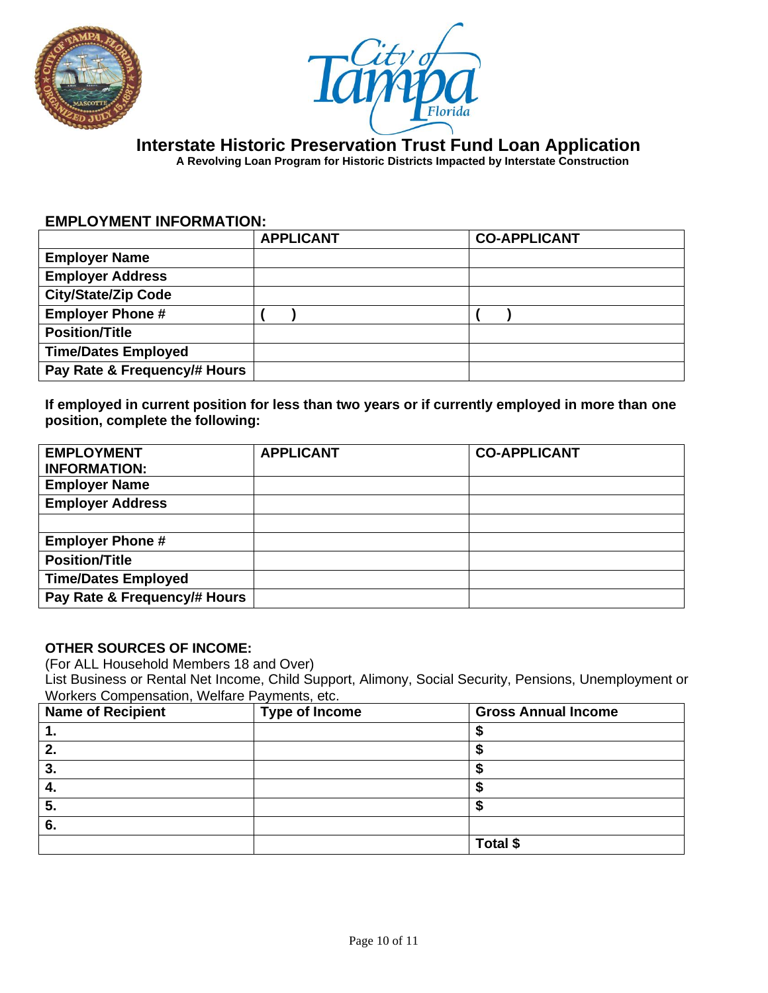



 **A Revolving Loan Program for Historic Districts Impacted by Interstate Construction**

#### **EMPLOYMENT INFORMATION:**

|                              | <b>APPLICANT</b> | <b>CO-APPLICANT</b> |
|------------------------------|------------------|---------------------|
| <b>Employer Name</b>         |                  |                     |
| <b>Employer Address</b>      |                  |                     |
| <b>City/State/Zip Code</b>   |                  |                     |
| <b>Employer Phone #</b>      |                  |                     |
| <b>Position/Title</b>        |                  |                     |
| <b>Time/Dates Employed</b>   |                  |                     |
| Pay Rate & Frequency/# Hours |                  |                     |

**If employed in current position for less than two years or if currently employed in more than one position, complete the following:**

| <b>EMPLOYMENT</b><br><b>INFORMATION:</b> | <b>APPLICANT</b> | <b>CO-APPLICANT</b> |
|------------------------------------------|------------------|---------------------|
| <b>Employer Name</b>                     |                  |                     |
| <b>Employer Address</b>                  |                  |                     |
|                                          |                  |                     |
| <b>Employer Phone #</b>                  |                  |                     |
| <b>Position/Title</b>                    |                  |                     |
| <b>Time/Dates Employed</b>               |                  |                     |
| Pay Rate & Frequency/# Hours             |                  |                     |

#### **OTHER SOURCES OF INCOME:**

(For ALL Household Members 18 and Over)

List Business or Rental Net Income, Child Support, Alimony, Social Security, Pensions, Unemployment or Workers Compensation, Welfare Payments, etc.

| <b>Name of Recipient</b> | <b>Type of Income</b> | <b>Gross Annual Income</b> |
|--------------------------|-----------------------|----------------------------|
| . .                      |                       |                            |
| 2.                       |                       |                            |
| 3.                       |                       |                            |
| $\mathbf{4}$             |                       |                            |
| 5.                       |                       |                            |
| 6.                       |                       |                            |
|                          |                       | Total \$                   |